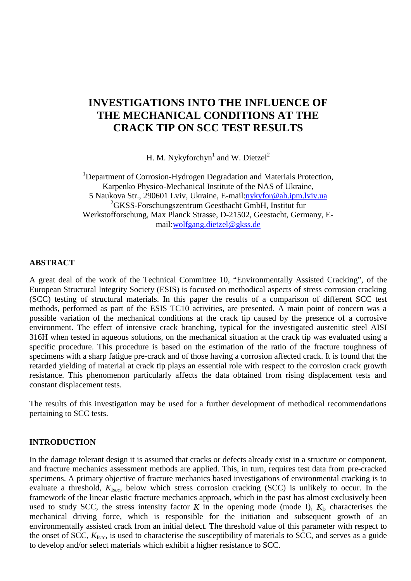# **INVESTIGATIONS INTO THE INFLUENCE OF THE MECHANICAL CONDITIONS AT THE CRACK TIP ON SCC TEST RESULTS**

H. M. Nykyforchyn<sup>1</sup> and W. Dietzel<sup>2</sup>

<sup>1</sup>Department of Corrosion-Hydrogen Degradation and Materials Protection, Karpenko Physico-Mechanical Institute of the NAS of Ukraine, 5 Naukova Str., 290601 Lviv, Ukraine, E-mail:nykyfor@ah.ipm.lviv.ua 2 GKSS-Forschungszentrum Geesthacht GmbH, Institut fur Werkstofforschung, Max Planck Strasse, D-21502, Geestacht, Germany, Email:wolfgang.dietzel@gkss.de

### **ABSTRACT**

A great deal of the work of the Technical Committee 10, "Environmentally Assisted Cracking", of the European Structural Integrity Society (ESIS) is focused on methodical aspects of stress corrosion cracking (SCC) testing of structural materials. In this paper the results of a comparison of different SCC test methods, performed as part of the ESIS TC10 activities, are presented. A main point of concern was a possible variation of the mechanical conditions at the crack tip caused by the presence of a corrosive environment. The effect of intensive crack branching, typical for the investigated austenitic steel AISI 316H when tested in aqueous solutions, on the mechanical situation at the crack tip was evaluated using a specific procedure. This procedure is based on the estimation of the ratio of the fracture toughness of specimens with a sharp fatigue pre-crack and of those having a corrosion affected crack. It is found that the retarded yielding of material at crack tip plays an essential role with respect to the corrosion crack growth resistance. This phenomenon particularly affects the data obtained from rising displacement tests and constant displacement tests.

The results of this investigation may be used for a further development of methodical recommendations pertaining to SCC tests.

#### **INTRODUCTION**

In the damage tolerant design it is assumed that cracks or defects already exist in a structure or component, and fracture mechanics assessment methods are applied. This, in turn, requires test data from pre-cracked specimens. A primary objective of fracture mechanics based investigations of environmental cracking is to evaluate a threshold, *K*<sup>I</sup>*scc*, below which stress corrosion cracking (SCC) is unlikely to occur. In the framework of the linear elastic fracture mechanics approach, which in the past has almost exclusively been used to study SCC, the stress intensity factor  $K$  in the opening mode (mode I),  $K_I$ , characterises the mechanical driving force, which is responsible for the initiation and subsequent growth of an environmentally assisted crack from an initial defect. The threshold value of this parameter with respect to the onset of SCC, *K*<sup>I</sup>*scc*, is used to characterise the susceptibility of materials to SCC, and serves as a guide to develop and/or select materials which exhibit a higher resistance to SCC.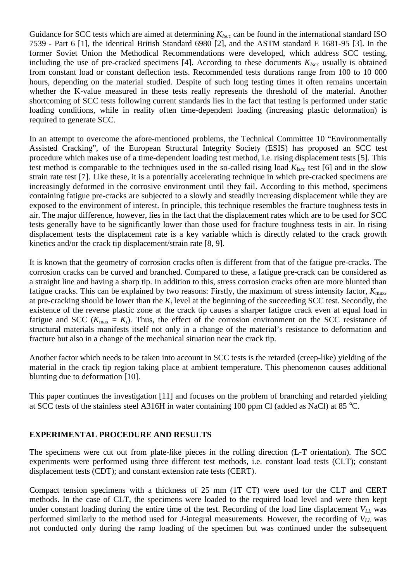Guidance for SCC tests which are aimed at determining  $K_{I<sub>SCC</sub>}$  can be found in the international standard ISO 7539 - Part 6 [1], the identical British Standard 6980 [2], and the ASTM standard E 1681-95 [3]. In the former Soviet Union the Methodical Recommendations were developed, which address SCC testing, including the use of pre-cracked specimens [4]. According to these documents  $K_{Iscc}$  usually is obtained from constant load or constant deflection tests. Recommended tests durations range from 100 to 10 000 hours, depending on the material studied. Despite of such long testing times it often remains uncertain whether the K-value measured in these tests really represents the threshold of the material. Another shortcoming of SCC tests following current standards lies in the fact that testing is performed under static loading conditions, while in reality often time-dependent loading (increasing plastic deformation) is required to generate SCC.

In an attempt to overcome the afore-mentioned problems, the Technical Committee 10 "Environmentally Assisted Cracking", of the European Structural Integrity Society (ESIS) has proposed an SCC test procedure which makes use of a time-dependent loading test method, i.e. rising displacement tests [5]. This test method is comparable to the techniques used in the so-called rising load  $K_{Iscc}$  test [6] and in the slow strain rate test [7]. Like these, it is a potentially accelerating technique in which pre-cracked specimens are increasingly deformed in the corrosive environment until they fail. According to this method, specimens containing fatigue pre-cracks are subjected to a slowly and steadily increasing displacement while they are exposed to the environment of interest. In principle, this technique resembles the fracture toughness tests in air. The major difference, however, lies in the fact that the displacement rates which are to be used for SCC tests generally have to be significantly lower than those used for fracture toughness tests in air. In rising displacement tests the displacement rate is a key variable which is directly related to the crack growth kinetics and/or the crack tip displacement/strain rate [8, 9].

It is known that the geometry of corrosion cracks often is different from that of the fatigue pre-cracks. The corrosion cracks can be curved and branched. Compared to these, a fatigue pre-crack can be considered as a straight line and having a sharp tip. In addition to this, stress corrosion cracks often are more blunted than fatigue cracks. This can be explained by two reasons: Firstly, the maximum of stress intensity factor, *K*max, at pre-cracking should be lower than the  $K_i$  level at the beginning of the succeeding SCC test. Secondly, the existence of the reverse plastic zone at the crack tip causes a sharper fatigue crack even at equal load in fatigue and SCC ( $K_{\text{max}} = K_i$ ). Thus, the effect of the corrosion environment on the SCC resistance of structural materials manifests itself not only in a change of the material's resistance to deformation and fracture but also in a change of the mechanical situation near the crack tip.

Another factor which needs to be taken into account in SCC tests is the retarded (creep-like) yielding of the material in the crack tip region taking place at ambient temperature. This phenomenon causes additional blunting due to deformation [10].

This paper continues the investigation [11] and focuses on the problem of branching and retarded yielding at SCC tests of the stainless steel A316H in water containing 100 ppm Cl (added as NaCl) at 85 °C.

# **EXPERIMENTAL PROCEDURE AND RESULTS**

The specimens were cut out from plate-like pieces in the rolling direction (L-T orientation). The SCC experiments were performed using three different test methods, i.e. constant load tests (CLT); constant displacement tests (CDT); and constant extension rate tests (CERT).

Compact tension specimens with a thickness of 25 mm (1T CT) were used for the CLT and CERT methods. In the case of CLT, the specimens were loaded to the required load level and were then kept under constant loading during the entire time of the test. Recording of the load line displacement  $V_{LL}$  was performed similarly to the method used for *J*-integral measurements. However, the recording of  $V_{LL}$  was not conducted only during the ramp loading of the specimen but was continued under the subsequent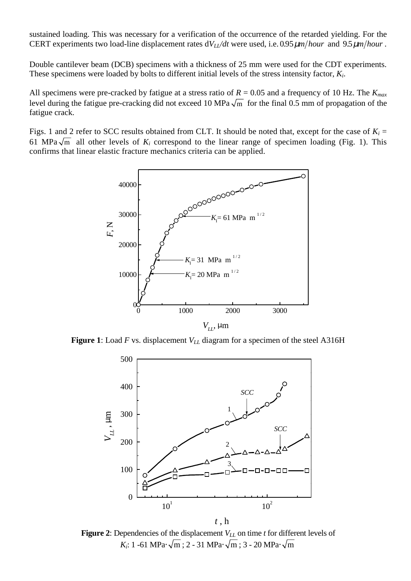sustained loading. This was necessary for a verification of the occurrence of the retarded yielding. For the CERT experiments two load-line displacement rates  $dV_L/dt$  were used, i.e. 0.95  $\mu$ *m*/hour and 9.5  $\mu$ *m*/hour.

Double cantilever beam (DCB) specimens with a thickness of 25 mm were used for the CDT experiments. These specimens were loaded by bolts to different initial levels of the stress intensity factor, *Ki*.

All specimens were pre-cracked by fatigue at a stress ratio of  $R = 0.05$  and a frequency of 10 Hz. The  $K_{max}$ level during the fatigue pre-cracking did not exceed 10 MPa  $\sqrt{m}$  for the final 0.5 mm of propagation of the fatigue crack.

Figs. 1 and 2 refer to SCC results obtained from CLT. It should be noted that, except for the case of  $K_i$  = 61 MPa $\sqrt{m}$  all other levels of  $K_i$  correspond to the linear range of specimen loading (Fig. 1). This confirms that linear elastic fracture mechanics criteria can be applied.



**Figure 1**: Load *F* vs. displacement  $V_{LL}$  diagram for a specimen of the steel A316H



**Figure 2**: Dependencies of the displacement *V<sub>LL</sub>* on time *t* for different levels of *K<sub>i</sub>*: 1 -61 MPa⋅  $\sqrt{m}$ ; 2 - 31 MPa⋅  $\sqrt{m}$ ; 3 - 20 MPa⋅  $\sqrt{m}$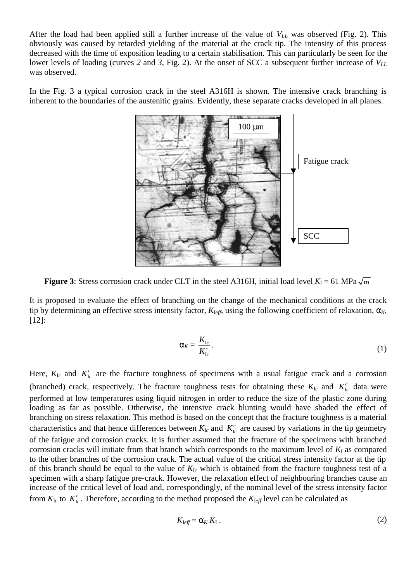After the load had been applied still a further increase of the value of  $V_{LL}$  was observed (Fig. 2). This obviously was caused by retarded yielding of the material at the crack tip. The intensity of this process decreased with the time of exposition leading to a certain stabilisation. This can particularly be seen for the lower levels of loading (curves 2 and 3, Fig. 2). At the onset of SCC a subsequent further increase of  $V_{LL}$ was observed.

In the Fig. 3 a typical corrosion crack in the steel A316H is shown. The intensive crack branching is inherent to the boundaries of the austenitic grains. Evidently, these separate cracks developed in all planes.



**Figure 3:** Stress corrosion crack under CLT in the steel A316H, initial load level  $K_i = 61 \text{ MPa } \sqrt{\text{m}}$ 

It is proposed to evaluate the effect of branching on the change of the mechanical conditions at the crack tip by determining an effective stress intensity factor,  $K_{\text{Left}}$ , using the following coefficient of relaxation,  $\alpha_K$ , [12]:

$$
\alpha_K = \frac{K_{\rm lc}}{K_{\rm lc}^c} \,. \tag{1}
$$

Here,  $K_{Ic}$  and  $K_{Ic}^{c}$  are the fracture toughness of specimens with a usual fatigue crack and a corrosion (branched) crack, respectively. The fracture toughness tests for obtaining these  $K_{Ic}$  and  $K_{Ic}^c$  data were performed at low temperatures using liquid nitrogen in order to reduce the size of the plastic zone during loading as far as possible. Otherwise, the intensive crack blunting would have shaded the effect of branching on stress relaxation. This method is based on the concept that the fracture toughness is a material characteristics and that hence differences between  $K_{Ic}$  and  $K_{Ic}^c$  are caused by variations in the tip geometry of the fatigue and corrosion cracks. It is further assumed that the fracture of the specimens with branched corrosion cracks will initiate from that branch which corresponds to the maximum level of  $K<sub>I</sub>$  as compared to the other branches of the corrosion crack. The actual value of the critical stress intensity factor at the tip of this branch should be equal to the value of  $K_{Ic}$  which is obtained from the fracture toughness test of a specimen with a sharp fatigue pre-crack. However, the relaxation effect of neighbouring branches cause an increase of the critical level of load and, correspondingly, of the nominal level of the stress intensity factor from  $K_{1c}$  to  $K_{1c}^c$ . Therefore, according to the method proposed the  $K_{1ef}$  level can be calculated as

$$
K_{\text{left}} = \alpha_K K_{\text{I}} \,. \tag{2}
$$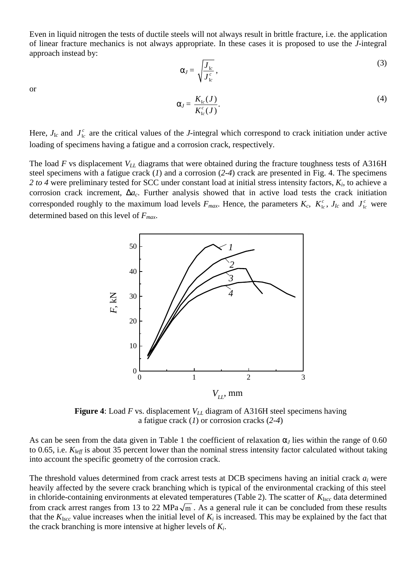Even in liquid nitrogen the tests of ductile steels will not always result in brittle fracture, i.e. the application of linear fracture mechanics is not always appropriate. In these cases it is proposed to use the *J*-integral approach instead by:

$$
\alpha_J = \sqrt{\frac{J_{I_c}}{J_{I_c}^c}},\tag{3}
$$

or

$$
\alpha_J = \frac{K_{\mathrm{Ic}}(J)}{K_{\mathrm{Ic}}^c(J)}.\tag{4}
$$

Here,  $J_{Ic}$  and  $J_{Ic}^c$  are the critical values of the *J*-integral which correspond to crack initiation under active loading of specimens having a fatigue and a corrosion crack, respectively.

The load  $F$  vs displacement  $V_{LL}$  diagrams that were obtained during the fracture toughness tests of A316H steel specimens with a fatigue crack (*1*) and a corrosion (*2*-*4*) crack are presented in Fig. 4. The specimens *2 to 4* were preliminary tested for SCC under constant load at initial stress intensity factors, *Ki*, to achieve a corrosion crack increment, ∆*ac*. Further analysis showed that in active load tests the crack initiation corresponded roughly to the maximum load levels  $F_{max}$ . Hence, the parameters  $K_c$ ,  $K_c^c$ ,  $J_{lc}$  and  $J_c^c$  were determined based on this level of *Fmax*.



**Figure 4:** Load *F* vs. displacement  $V_{LL}$  diagram of A316H steel specimens having a fatigue crack (*1*) or corrosion cracks (*2*-*4*)

As can be seen from the data given in Table 1 the coefficient of relaxation  $\alpha$ <sub>*J*</sub> lies within the range of 0.60 to 0.65, i.e. *K*<sup>I</sup>*eff* is about 35 percent lower than the nominal stress intensity factor calculated without taking into account the specific geometry of the corrosion crack.

The threshold values determined from crack arrest tests at DCB specimens having an initial crack *ai* were heavily affected by the severe crack branching which is typical of the environmental cracking of this steel in chloride-containing environments at elevated temperatures (Table 2). The scatter of  $K_{\text{Iscc}}$  data determined from crack arrest ranges from 13 to 22 MPa $\sqrt{m}$ . As a general rule it can be concluded from these results that the  $K_{\text{Iscc}}$  value increases when the initial level of  $K_i$  is increased. This may be explained by the fact that the crack branching is more intensive at higher levels of *Ki*.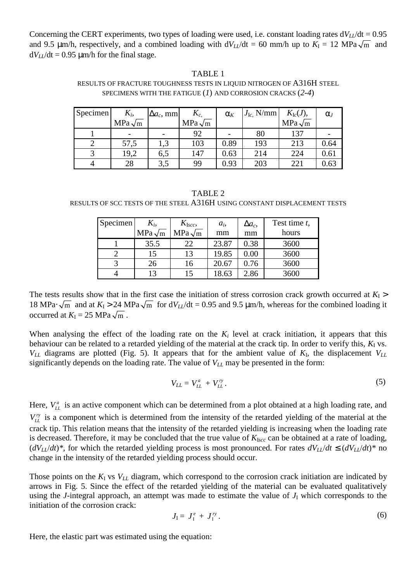Concerning the CERT experiments, two types of loading were used, i.e. constant loading rates  $dV_U/dt = 0.95$ and 9.5  $\mu$ m/h, respectively, and a combined loading with  $dV_U/dt = 60$  mm/h up to  $K_I = 12$  MPa $\sqrt{m}$  and  $dV_L/dt = 0.95 \text{ }\mu\text{m/h}$  for the final stage.

#### TABLE 1

#### RESULTS OF FRACTURE TOUGHNESS TESTS IN LIQUID NITROGEN OF A316H STEEL SPECIMENS WITH THE FATIGUE (*1*) AND CORROSION CRACKS (*2*-*4*)

| Specimen | $K_i$         | $\Delta a_c$ , mm | $K_{c,}$      | $\alpha_{K}$ | $J_{\text{Ic}}$ , N/mm | $K_{\rm lc}(J),$ | $\alpha$ |
|----------|---------------|-------------------|---------------|--------------|------------------------|------------------|----------|
|          | $MPa\sqrt{m}$ |                   | $MPa\sqrt{m}$ |              |                        | $MPa\sqrt{m}$    |          |
|          |               |                   | 92            |              | 80                     | 137              |          |
|          | 57,5          |                   | 103           | 0.89         | 193                    | 213              | 0.64     |
|          | 19,2          | 6,5               | 147           | 0.63         | 214                    | 224              | 0.61     |
|          | 28            | 3,5               | 99            | 0.93         | 203                    | 221              | 0.63     |

#### TABLE 2

RESULTS OF SCC TESTS OF THE STEEL A316H USING CONSTANT DISPLACEMENT TESTS

| Specimen | $K_i$         | $K_{\text{Iscc}}$ | $a_i$ | $\Delta a_c$ | Test time t, |
|----------|---------------|-------------------|-------|--------------|--------------|
|          | $MPa\sqrt{m}$ | $MPa\sqrt{m}$     | mm    | mm           | hours        |
|          | 35.5          | 22                | 23.87 | 0.38         | 3600         |
|          | 15            | 13                | 19.85 | $0.00\,$     | 3600         |
|          | 26            | 16                | 20.67 | 0.76         | 3600         |
|          | 13            |                   | 8.63  | 2.86         | 3600         |

The tests results show that in the first case the initiation of stress corrosion crack growth occurred at  $K_I$  > 18 MPa⋅  $\sqrt{m}$  and at  $K_I > 24$  MPa  $\sqrt{m}$  for d $V_{LL}/dt = 0.95$  and 9.5 µm/h, whereas for the combined loading it occurred at  $K_{I} = 25 \text{ MPa } \sqrt{\text{m}}$ .

When analysing the effect of the loading rate on the  $K_i$  level at crack initiation, it appears that this behaviour can be related to a retarded yielding of the material at the crack tip. In order to verify this,  $K_I$  vs.  $V_{LL}$  diagrams are plotted (Fig. 5). It appears that for the ambient value of  $K_I$ , the displacement  $V_{LL}$ significantly depends on the loading rate. The value of  $V_{LL}$  may be presented in the form:

$$
V_{LL} = V_{LL}^a + V_{LL}^{\prime \gamma} \,. \tag{5}
$$

Here,  $V_L^a$  is an active component which can be determined from a plot obtained at a high loading rate, and  $V_L^{\prime\prime}$  is a component which is determined from the intensity of the retarded yielding of the material at the crack tip. This relation means that the intensity of the retarded yielding is increasing when the loading rate is decreased. Therefore, it may be concluded that the true value of  $K_{Iscc}$  can be obtained at a rate of loading,  $(dV_L/dt)^*$ , for which the retarded yielding process is most pronounced. For rates  $dV_L/dt \leq (dV_L/dt)^*$  no change in the intensity of the retarded yielding process should occur.

Those points on the  $K_I$  vs  $V_{LL}$  diagram, which correspond to the corrosion crack initiation are indicated by arrows in Fig. 5. Since the effect of the retarded yielding of the material can be evaluated qualitatively using the *J*-integral approach, an attempt was made to estimate the value of  $J<sub>I</sub>$  which corresponds to the initiation of the corrosion crack:

$$
J_{\rm I}=J_{\rm I}^e+J_{\rm I}^{\prime\prime}\,.\tag{6}
$$

Here, the elastic part was estimated using the equation: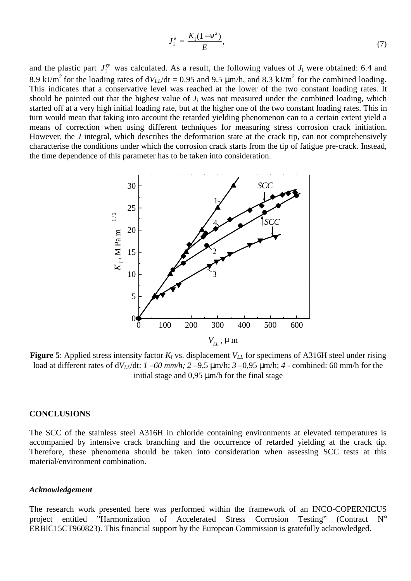$$
J_1^e = \frac{K_1(1 - v^2)}{E},\tag{7}
$$

and the plastic part  $J_1^{\prime\prime}$  was calculated. As a result, the following values of  $J_1$  were obtained: 6.4 and 8.9 kJ/m<sup>2</sup> for the loading rates of  $dV_{LL}/dt = 0.95$  and 9.5  $\mu$ m/h, and 8.3 kJ/m<sup>2</sup> for the combined loading. This indicates that a conservative level was reached at the lower of the two constant loading rates. It should be pointed out that the highest value of  $J_i$  was not measured under the combined loading, which started off at a very high initial loading rate, but at the higher one of the two constant loading rates. This in turn would mean that taking into account the retarded yielding phenomenon can to a certain extent yield a means of correction when using different techniques for measuring stress corrosion crack initiation. However, the *J* integral, which describes the deformation state at the crack tip, can not comprehensively characterise the conditions under which the corrosion crack starts from the tip of fatigue pre-crack. Instead, the time dependence of this parameter has to be taken into consideration.



**Figure 5**: Applied stress intensity factor  $K_I$  vs. displacement  $V_{LL}$  for specimens of A316H steel under rising load at different rates of  $dV_{LL}/dt$ :  $1-60$  mm/h;  $2-9.5$  µm/h;  $3-0.95$  µm/h;  $4$  - combined: 60 mm/h for the initial stage and 0.95  $\mu$ m/h for the final stage

#### **CONCLUSIONS**

The SCC of the stainless steel A316H in chloride containing environments at elevated temperatures is accompanied by intensive crack branching and the occurrence of retarded yielding at the crack tip. Therefore, these phenomena should be taken into consideration when assessing SCC tests at this material/environment combination.

#### *Acknowledgement*

The research work presented here was performed within the framework of an INCO-COPERNICUS project entitled "Harmonization of Accelerated Stress Corrosion Testing" (Contract N° ERBIC15CT960823). This financial support by the European Commission is gratefully acknowledged.